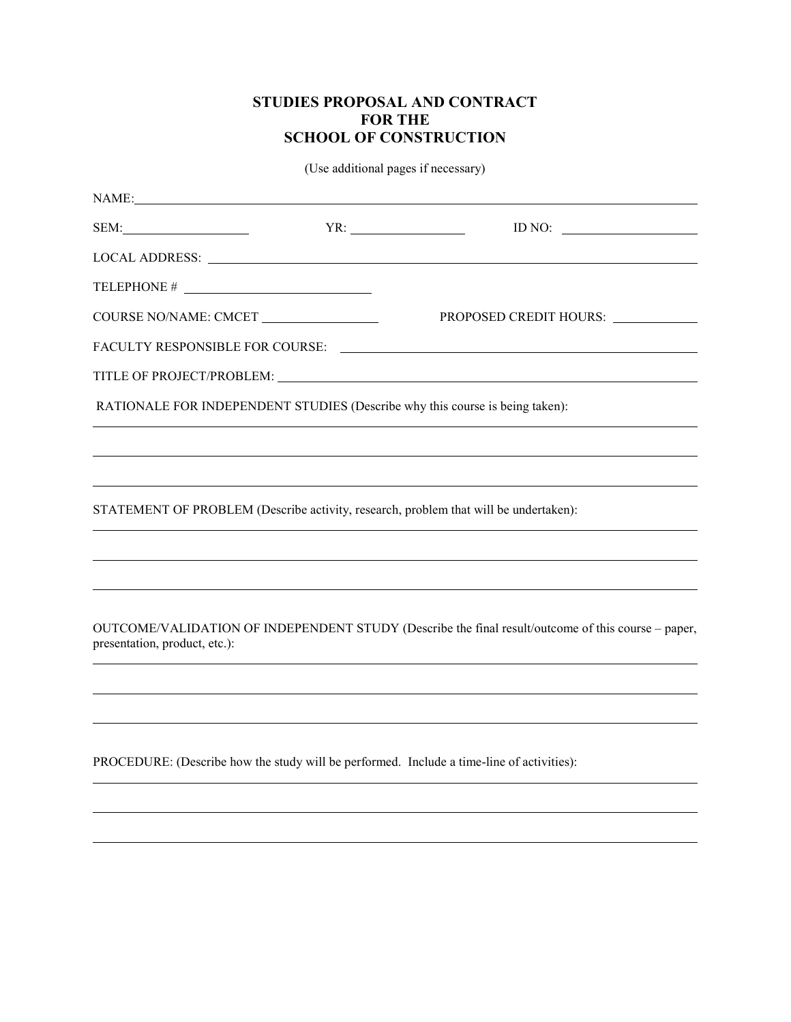## **STUDIES PROPOSAL AND CONTRACT FOR THE SCHOOL OF CONSTRUCTION**

(Use additional pages if necessary)

| NAME:                         |                                                                                                                                                                      |
|-------------------------------|----------------------------------------------------------------------------------------------------------------------------------------------------------------------|
|                               | ID NO: $\qquad \qquad$                                                                                                                                               |
|                               |                                                                                                                                                                      |
|                               |                                                                                                                                                                      |
| COURSE NO/NAME: CMCET         | PROPOSED CREDIT HOURS: ____________                                                                                                                                  |
|                               |                                                                                                                                                                      |
|                               |                                                                                                                                                                      |
|                               | RATIONALE FOR INDEPENDENT STUDIES (Describe why this course is being taken):                                                                                         |
|                               |                                                                                                                                                                      |
|                               | ,我们也不会有什么?""我们的人,我们也不会有什么?""我们的人,我们也不会有什么?""我们的人,我们也不会有什么?""我们的人,我们也不会有什么?""我们的人<br>,我们也不会有什么。""我们的人,我们也不会有什么?""我们的人,我们也不会有什么?""我们的人,我们也不会有什么?""我们的人,我们也不会有什么?""我们的人 |
|                               | STATEMENT OF PROBLEM (Describe activity, research, problem that will be undertaken):                                                                                 |
|                               |                                                                                                                                                                      |
|                               | ,我们也不会有什么?""我们的人,我们也不会有什么?""我们的人,我们也不会有什么?""我们的人,我们也不会有什么?""我们的人,我们也不会有什么?""我们的人                                                                                     |
|                               |                                                                                                                                                                      |
| presentation, product, etc.): | OUTCOME/VALIDATION OF INDEPENDENT STUDY (Describe the final result/outcome of this course – paper,                                                                   |
|                               |                                                                                                                                                                      |
|                               |                                                                                                                                                                      |
|                               |                                                                                                                                                                      |

PROCEDURE: (Describe how the study will be performed. Include a time-line of activities):

 $\overline{a}$